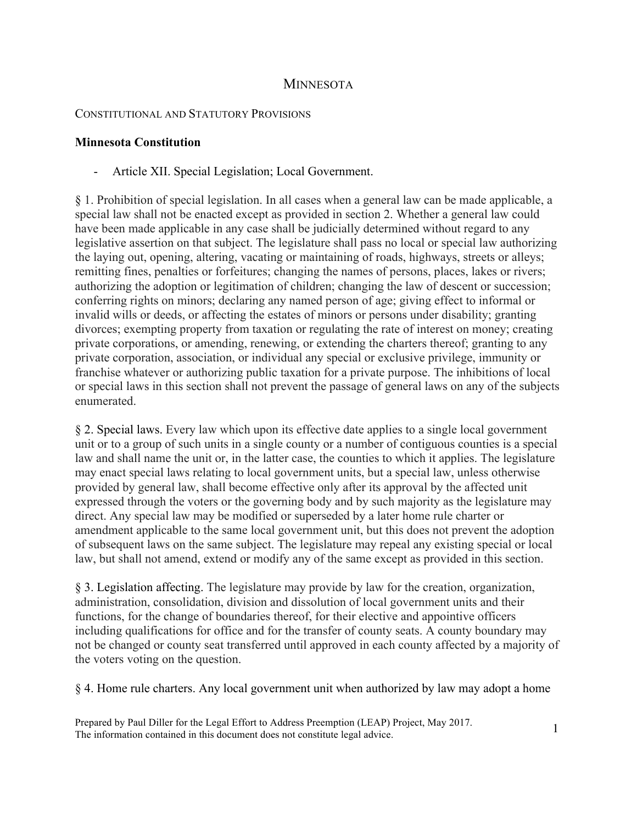## **MINNESOTA**

## CONSTITUTIONAL AND STATUTORY PROVISIONS

## **Minnesota Constitution**

- Article XII. Special Legislation; Local Government.

§ 1. Prohibition of special legislation. In all cases when a general law can be made applicable, a special law shall not be enacted except as provided in section 2. Whether a general law could have been made applicable in any case shall be judicially determined without regard to any legislative assertion on that subject. The legislature shall pass no local or special law authorizing the laying out, opening, altering, vacating or maintaining of roads, highways, streets or alleys; remitting fines, penalties or forfeitures; changing the names of persons, places, lakes or rivers; authorizing the adoption or legitimation of children; changing the law of descent or succession; conferring rights on minors; declaring any named person of age; giving effect to informal or invalid wills or deeds, or affecting the estates of minors or persons under disability; granting divorces; exempting property from taxation or regulating the rate of interest on money; creating private corporations, or amending, renewing, or extending the charters thereof; granting to any private corporation, association, or individual any special or exclusive privilege, immunity or franchise whatever or authorizing public taxation for a private purpose. The inhibitions of local or special laws in this section shall not prevent the passage of general laws on any of the subjects enumerated.

§ 2. Special laws. Every law which upon its effective date applies to a single local government unit or to a group of such units in a single county or a number of contiguous counties is a special law and shall name the unit or, in the latter case, the counties to which it applies. The legislature may enact special laws relating to local government units, but a special law, unless otherwise provided by general law, shall become effective only after its approval by the affected unit expressed through the voters or the governing body and by such majority as the legislature may direct. Any special law may be modified or superseded by a later home rule charter or amendment applicable to the same local government unit, but this does not prevent the adoption of subsequent laws on the same subject. The legislature may repeal any existing special or local law, but shall not amend, extend or modify any of the same except as provided in this section.

§ 3. Legislation affecting. The legislature may provide by law for the creation, organization, administration, consolidation, division and dissolution of local government units and their functions, for the change of boundaries thereof, for their elective and appointive officers including qualifications for office and for the transfer of county seats. A county boundary may not be changed or county seat transferred until approved in each county affected by a majority of the voters voting on the question.

§ 4. Home rule charters. Any local government unit when authorized by law may adopt a home

Prepared by Paul Diller for the Legal Effort to Address Preemption (LEAP) Project, May 2017. The information contained in this document does not constitute legal advice.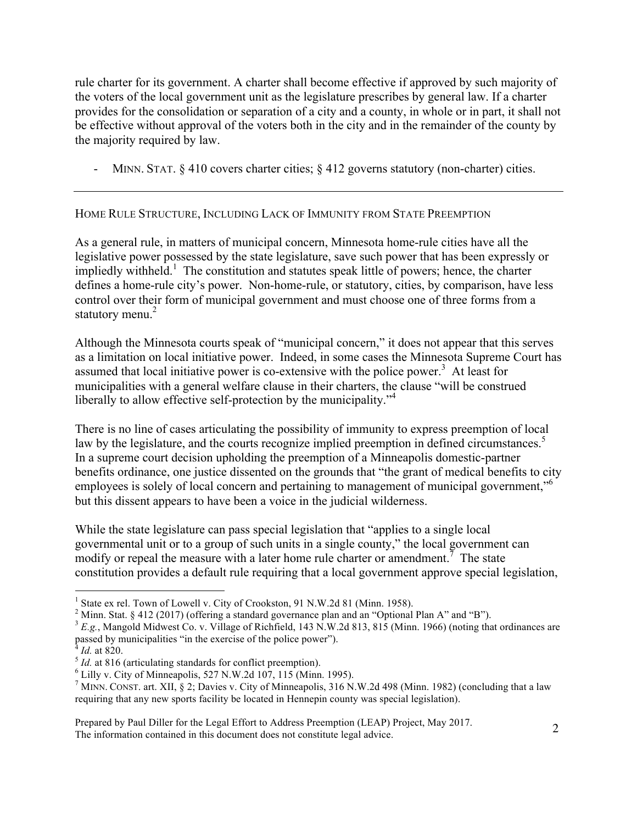rule charter for its government. A charter shall become effective if approved by such majority of the voters of the local government unit as the legislature prescribes by general law. If a charter provides for the consolidation or separation of a city and a county, in whole or in part, it shall not be effective without approval of the voters both in the city and in the remainder of the county by the majority required by law.

- MINN. STAT. § 410 covers charter cities; § 412 governs statutory (non-charter) cities.

## HOME RULE STRUCTURE, INCLUDING LACK OF IMMUNITY FROM STATE PREEMPTION

As a general rule, in matters of municipal concern, Minnesota home-rule cities have all the legislative power possessed by the state legislature, save such power that has been expressly or impliedly withheld.<sup>1</sup> The constitution and statutes speak little of powers; hence, the charter defines a home-rule city's power. Non-home-rule, or statutory, cities, by comparison, have less control over their form of municipal government and must choose one of three forms from a statutory menu.<sup>2</sup>

Although the Minnesota courts speak of "municipal concern," it does not appear that this serves as a limitation on local initiative power. Indeed, in some cases the Minnesota Supreme Court has assumed that local initiative power is co-extensive with the police power.<sup>3</sup> At least for municipalities with a general welfare clause in their charters, the clause "will be construed liberally to allow effective self-protection by the municipality."<sup>4</sup>

There is no line of cases articulating the possibility of immunity to express preemption of local law by the legislature, and the courts recognize implied preemption in defined circumstances.<sup>5</sup> In a supreme court decision upholding the preemption of a Minneapolis domestic-partner benefits ordinance, one justice dissented on the grounds that "the grant of medical benefits to city employees is solely of local concern and pertaining to management of municipal government,"<sup>6</sup> but this dissent appears to have been a voice in the judicial wilderness.

While the state legislature can pass special legislation that "applies to a single local governmental unit or to a group of such units in a single county," the local government can modify or repeal the measure with a later home rule charter or amendment.<sup>7</sup> The state constitution provides a default rule requiring that a local government approve special legislation,

 $\frac{1}{1}$ <sup>1</sup> State ex rel. Town of Lowell v. City of Crookston, 91 N.W.2d 81 (Minn. 1958).

<sup>&</sup>lt;sup>2</sup> Minn. Stat. § 412 (2017) (offering a standard governance plan and an "Optional Plan A" and "B").

<sup>&</sup>lt;sup>3</sup> E.g., Mangold Midwest Co. v. Village of Richfield, 143 N.W.2d 813, 815 (Minn. 1966) (noting that ordinances are passed by municipalities "in the exercise of the police power").

 $^{4}$  *Id.* at 820.<br> $^{5}$  *Id.* at 816 (articulating standards for conflict preemption).<br> $^{6}$  Lilly v. City of Minneapolis, 527 N.W.2d 107, 115 (Minn. 1995).

<sup>&</sup>lt;sup>7</sup> MINN. CONST. art. XII, § 2; Davies v. City of Minneapolis, 316 N.W.2d 498 (Minn. 1982) (concluding that a law requiring that any new sports facility be located in Hennepin county was special legislation).

Prepared by Paul Diller for the Legal Effort to Address Preemption (LEAP) Project, May 2017. The information contained in this document does not constitute legal advice.